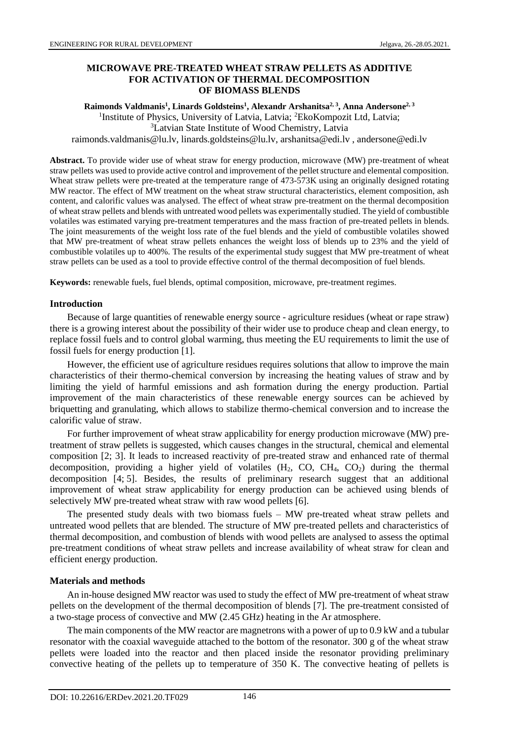# **MICROWAVE PRE-TREATED WHEAT STRAW PELLETS AS ADDITIVE FOR ACTIVATION OF THERMAL DECOMPOSITION OF BIOMASS BLENDS**

**Raimonds Valdmanis<sup>1</sup> , Linards Goldsteins<sup>1</sup> , Alexandr Arshanitsa2, 3, Anna Andersone2, 3** <sup>1</sup>Institute of Physics, University of Latvia, Latvia; <sup>2</sup>EkoKompozit Ltd, Latvia; <sup>3</sup>Latvian State Institute of Wood Chemistry, Latvia raimonds.valdmanis@lu.lv, linards.goldsteins@lu.lv, arshanitsa@edi.lv , andersone@edi.lv

**Abstract.** To provide wider use of wheat straw for energy production, microwave (MW) pre-treatment of wheat straw pellets was used to provide active control and improvement of the pellet structure and elemental composition. Wheat straw pellets were pre-treated at the temperature range of 473-573K using an originally designed rotating MW reactor. The effect of MW treatment on the wheat straw structural characteristics, element composition, ash content, and calorific values was analysed. The effect of wheat straw pre-treatment on the thermal decomposition of wheat straw pellets and blends with untreated wood pellets was experimentally studied. The yield of combustible volatiles was estimated varying pre-treatment temperatures and the mass fraction of pre-treated pellets in blends. The joint measurements of the weight loss rate of the fuel blends and the yield of combustible volatiles showed that MW pre-treatment of wheat straw pellets enhances the weight loss of blends up to 23% and the yield of combustible volatiles up to 400%. The results of the experimental study suggest that MW pre-treatment of wheat straw pellets can be used as a tool to provide effective control of the thermal decomposition of fuel blends.

**Keywords:** renewable fuels, fuel blends, optimal composition, microwave, pre-treatment regimes.

### **Introduction**

Because of large quantities of renewable energy source - agriculture residues (wheat or rape straw) there is a growing interest about the possibility of their wider use to produce cheap and clean energy, to replace fossil fuels and to control global warming, thus meeting the EU requirements to limit the use of fossil fuels for energy production [1].

However, the efficient use of agriculture residues requires solutions that allow to improve the main characteristics of their thermo-chemical conversion by increasing the heating values of straw and by limiting the yield of harmful emissions and ash formation during the energy production. Partial improvement of the main characteristics of these renewable energy sources can be achieved by briquetting and granulating, which allows to stabilize thermo-chemical conversion and to increase the calorific value of straw.

For further improvement of wheat straw applicability for energy production microwave (MW) pretreatment of straw pellets is suggested, which causes changes in the structural, chemical and elemental composition [2; 3]. It leads to increased reactivity of pre-treated straw and enhanced rate of thermal decomposition, providing a higher yield of volatiles  $(H_2, CO, CH_4, CO_2)$  during the thermal decomposition [4; 5]. Besides, the results of preliminary research suggest that an additional improvement of wheat straw applicability for energy production can be achieved using blends of selectively MW pre-treated wheat straw with raw wood pellets [6].

The presented study deals with two biomass fuels – MW pre-treated wheat straw pellets and untreated wood pellets that are blended. The structure of MW pre-treated pellets and characteristics of thermal decomposition, and combustion of blends with wood pellets are analysed to assess the optimal pre-treatment conditions of wheat straw pellets and increase availability of wheat straw for clean and efficient energy production.

### **Materials and methods**

An in-house designed MW reactor was used to study the effect of MW pre-treatment of wheat straw pellets on the development of the thermal decomposition of blends [7]. The pre-treatment consisted of a two-stage process of convective and MW (2.45 GHz) heating in the Ar atmosphere.

The main components of the MW reactor are magnetrons with a power of up to 0.9 kW and a tubular resonator with the coaxial waveguide attached to the bottom of the resonator. 300 g of the wheat straw pellets were loaded into the reactor and then placed inside the resonator providing preliminary convective heating of the pellets up to temperature of 350 K. The convective heating of pellets is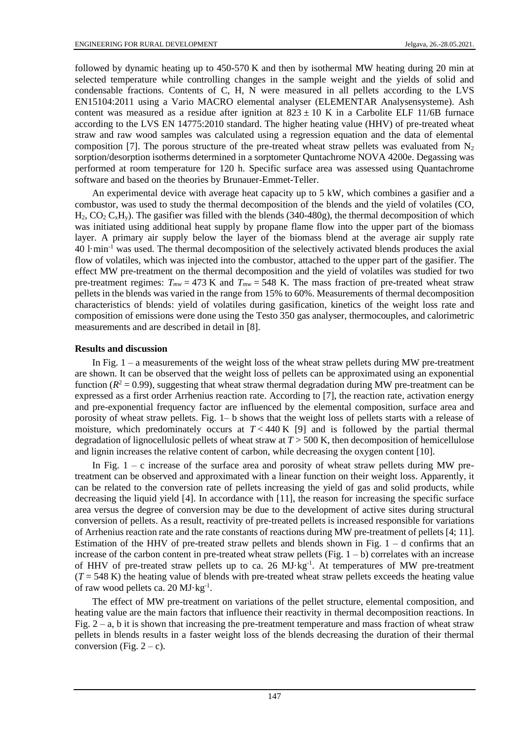followed by dynamic heating up to 450-570 K and then by isothermal MW heating during 20 min at selected temperature while controlling changes in the sample weight and the yields of solid and condensable fractions. Contents of C, H, N were measured in all pellets according to the LVS EN15104:2011 using a Vario MACRO elemental analyser (ELEMENTAR Analysensysteme). Ash content was measured as a residue after ignition at  $823 \pm 10$  K in a Carbolite ELF 11/6B furnace according to the LVS EN 14775:2010 standard. The higher heating value (HHV) of pre-treated wheat straw and raw wood samples was calculated using a regression equation and the data of elemental composition [7]. The porous structure of the pre-treated wheat straw pellets was evaluated from  $N_2$ sorption/desorption isotherms determined in a sorptometer Quntachrome NOVA 4200e. Degassing was performed at room temperature for 120 h. Specific surface area was assessed using Quantachrome software and based on the theories by Brunauer-Emmet-Teller.

An experimental device with average heat capacity up to 5 kW, which combines a gasifier and a combustor, was used to study the thermal decomposition of the blends and the yield of volatiles (CO,  $H_2$ ,  $CO_2$   $C_xH_y$ ). The gasifier was filled with the blends (340-480g), the thermal decomposition of which was initiated using additional heat supply by propane flame flow into the upper part of the biomass layer. A primary air supply below the layer of the biomass blend at the average air supply rate  $40 \text{ l·min}^{-1}$  was used. The thermal decomposition of the selectively activated blends produces the axial flow of volatiles, which was injected into the combustor, attached to the upper part of the gasifier. The effect MW pre-treatment on the thermal decomposition and the yield of volatiles was studied for two pre-treatment regimes:  $T_{mw} = 473$  K and  $T_{mw} = 548$  K. The mass fraction of pre-treated wheat straw pellets in the blends was varied in the range from 15% to 60%. Measurements of thermal decomposition characteristics of blends: yield of volatiles during gasification, kinetics of the weight loss rate and composition of emissions were done using the Testo 350 gas analyser, thermocouples, and calorimetric measurements and are described in detail in [8].

## **Results and discussion**

In Fig.  $1 - a$  measurements of the weight loss of the wheat straw pellets during MW pre-treatment are shown. It can be observed that the weight loss of pellets can be approximated using an exponential function ( $R^2 = 0.99$ ), suggesting that wheat straw thermal degradation during MW pre-treatment can be expressed as a first order Arrhenius reaction rate. According to [7], the reaction rate, activation energy and pre-exponential frequency factor are influenced by the elemental composition, surface area and porosity of wheat straw pellets. Fig. 1– b shows that the weight loss of pellets starts with a release of moisture, which predominately occurs at  $T < 440$  K [9] and is followed by the partial thermal degradation of lignocellulosic pellets of wheat straw at *T* > 500 K, then decomposition of hemicellulose and lignin increases the relative content of carbon, while decreasing the oxygen content [10].

In Fig.  $1 - c$  increase of the surface area and porosity of wheat straw pellets during MW pretreatment can be observed and approximated with a linear function on their weight loss. Apparently, it can be related to the conversion rate of pellets increasing the yield of gas and solid products, while decreasing the liquid yield [4]. In accordance with [11], the reason for increasing the specific surface area versus the degree of conversion may be due to the development of active sites during structural conversion of pellets. As a result, reactivity of pre-treated pellets is increased responsible for variations of Arrhenius reaction rate and the rate constants of reactions during MW pre-treatment of pellets [4; 11]. Estimation of the HHV of pre-treated straw pellets and blends shown in Fig.  $1 - d$  confirms that an increase of the carbon content in pre-treated wheat straw pellets (Fig.  $1 - b$ ) correlates with an increase of HHV of pre-treated straw pellets up to ca. 26 MJ·kg<sup>-1</sup>. At temperatures of MW pre-treatment  $(T = 548 \text{ K})$  the heating value of blends with pre-treated wheat straw pellets exceeds the heating value of raw wood pellets ca. 20 MJ·kg<sup>-1</sup>.

The effect of MW pre-treatment on variations of the pellet structure, elemental composition, and heating value are the main factors that influence their reactivity in thermal decomposition reactions. In Fig.  $2 - a$ , b it is shown that increasing the pre-treatment temperature and mass fraction of wheat straw pellets in blends results in a faster weight loss of the blends decreasing the duration of their thermal conversion (Fig.  $2 - c$ ).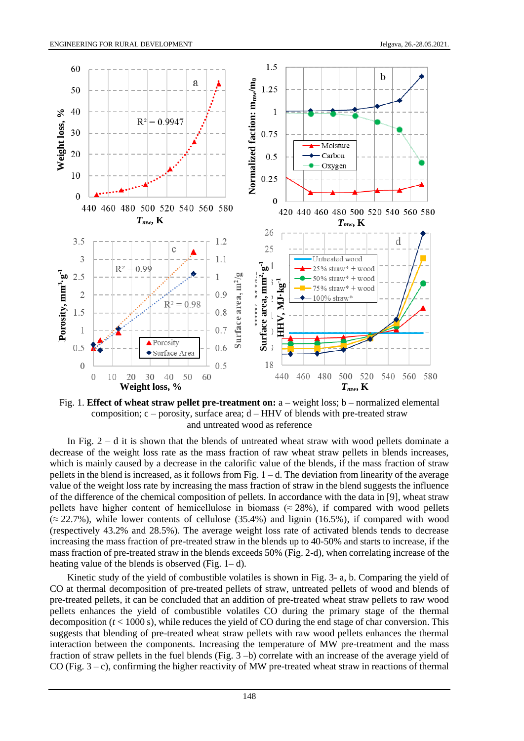

Fig. 1. **Effect of wheat straw pellet pre-treatment on:** a – weight loss; b – normalized elemental composition;  $c$  – porosity, surface area;  $d$  – HHV of blends with pre-treated straw and untreated wood as reference

In Fig.  $2 - d$  it is shown that the blends of untreated wheat straw with wood pellets dominate a decrease of the weight loss rate as the mass fraction of raw wheat straw pellets in blends increases, which is mainly caused by a decrease in the calorific value of the blends, if the mass fraction of straw pellets in the blend is increased, as it follows from Fig. 1 – d. The deviation from linearity of the average value of the weight loss rate by increasing the mass fraction of straw in the blend suggests the influence of the difference of the chemical composition of pellets. In accordance with the data in [9], wheat straw pellets have higher content of hemicellulose in biomass ( $\approx$  28%), if compared with wood pellets  $(\approx 22.7\%)$ , while lower contents of cellulose (35.4%) and lignin (16.5%), if compared with wood (respectively 43.2% and 28.5%). The average weight loss rate of activated blends tends to decrease increasing the mass fraction of pre-treated straw in the blends up to 40-50% and starts to increase, if the mass fraction of pre-treated straw in the blends exceeds 50% (Fig. 2-d), when correlating increase of the heating value of the blends is observed (Fig.  $1 - d$ ).

Kinetic study of the yield of combustible volatiles is shown in Fig. 3- a, b. Comparing the yield of CO at thermal decomposition of pre-treated pellets of straw, untreated pellets of wood and blends of pre-treated pellets, it can be concluded that an addition of pre-treated wheat straw pellets to raw wood pellets enhances the yield of combustible volatiles CO during the primary stage of the thermal decomposition  $(t < 1000 s)$ , while reduces the yield of CO during the end stage of char conversion. This suggests that blending of pre-treated wheat straw pellets with raw wood pellets enhances the thermal interaction between the components. Increasing the temperature of MW pre-treatment and the mass fraction of straw pellets in the fuel blends (Fig. 3 –b) correlate with an increase of the average yield of CO (Fig.  $3 - c$ ), confirming the higher reactivity of MW pre-treated wheat straw in reactions of thermal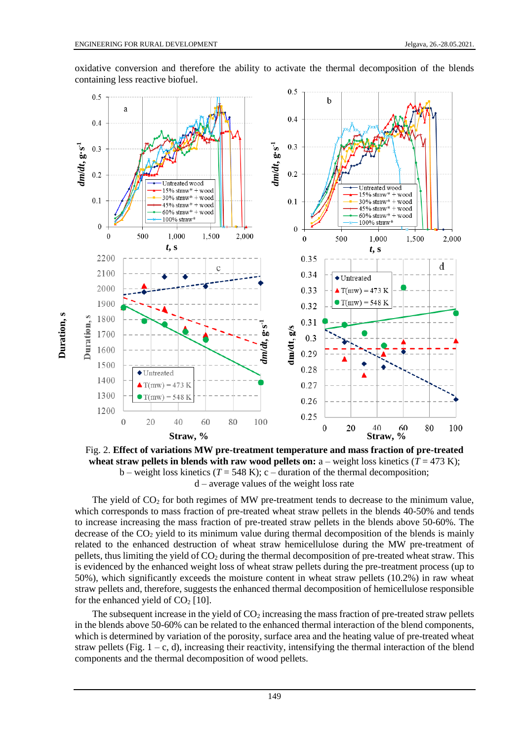**Duration, s**

**Duration**, s

 $0.5$  $0.5$  $\mathbf b$ a  $0.4$  $0.4$ dm/dt,  $g$ ·s<sup>-1</sup> *dm***/***dt***, g·s -1**  $0.3$ **Straw**,  $\frac{1}{2}$ <br> **Straw,**  $\frac{1}{2}$ <br>  $\frac{1}{2}$ <br>  $\frac{1}{2}$ <br>  $\frac{1}{2}$ <br>  $\frac{1}{2}$ <br>  $\frac{1}{2}$ <br>  $\frac{1}{2}$ <br>  $\frac{1}{2}$ <br>  $\frac{1}{2}$ <br>  $\frac{1}{2}$ <br>  $\frac{1}{2}$ <br>  $\frac{1}{2}$ <br>  $\frac{1}{2}$ <br>  $\frac{1}{2}$ <br>  $\frac{1}{2}$ <br>  $\frac{1}{2}$ <br>  $\frac{1}{2}$ <br>  $\frac{1$  $0.2$  $0.1$  $\boldsymbol{0}$ 500  $\Omega$ 2,000 *t***, s** *t***, s** 2200 d 2100 2000 1900 Duration, s 1800 **-1** *dm***/***dt***, g·s** 1700 1600 1500 1400 1300  $T(mw)$ 1200  $\overline{0}$ 20 80 100

oxidative conversion and therefore the ability to activate the thermal decomposition of the blends containing less reactive biofuel.

Fig. 2. **Effect of variations MW pre-treatment temperature and mass fraction of pre-treated wheat straw pellets in blends with raw wood pellets on:**  $a$  – weight loss kinetics ( $T = 473$  K); b – weight loss kinetics ( $T = 548$  K); c – duration of the thermal decomposition; d – average values of the weight loss rate

The yield of  $CO<sub>2</sub>$  for both regimes of MW pre-treatment tends to decrease to the minimum value, which corresponds to mass fraction of pre-treated wheat straw pellets in the blends 40-50% and tends to increase increasing the mass fraction of pre-treated straw pellets in the blends above 50-60%. The decrease of the  $CO<sub>2</sub>$  yield to its minimum value during thermal decomposition of the blends is mainly related to the enhanced destruction of wheat straw hemicellulose during the MW pre-treatment of pellets, thus limiting the yield of  $CO<sub>2</sub>$  during the thermal decomposition of pre-treated wheat straw. This is evidenced by the enhanced weight loss of wheat straw pellets during the pre-treatment process (up to 50%), which significantly exceeds the moisture content in wheat straw pellets (10.2%) in raw wheat straw pellets and, therefore, suggests the enhanced thermal decomposition of hemicellulose responsible for the enhanced yield of  $CO<sub>2</sub>$  [10].

The subsequent increase in the yield of  $CO<sub>2</sub>$  increasing the mass fraction of pre-treated straw pellets in the blends above 50-60% can be related to the enhanced thermal interaction of the blend components, which is determined by variation of the porosity, surface area and the heating value of pre-treated wheat straw pellets (Fig.  $1 - c$ , d), increasing their reactivity, intensifying the thermal interaction of the blend components and the thermal decomposition of wood pellets.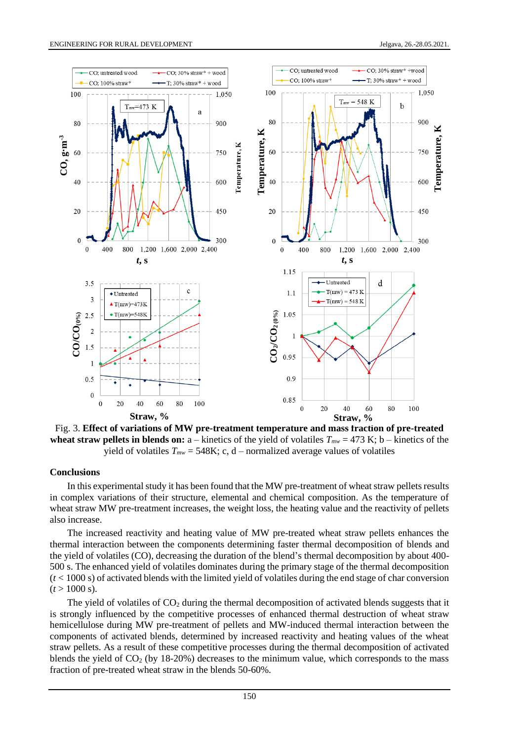

Fig. 3. **Effect of variations of MW pre-treatment temperature and mass fraction of pre-treated wheat straw pellets in blends on:**  $a$  – kinetics of the yield of volatiles  $T_{mw}$  = 473 K; b – kinetics of the yield of volatiles  $T_{mw} = 548K$ ; c, d – normalized average values of volatiles

#### **Conclusions**

In this experimental study it has been found that the MW pre-treatment of wheat straw pellets results in complex variations of their structure, elemental and chemical composition. As the temperature of wheat straw MW pre-treatment increases, the weight loss, the heating value and the reactivity of pellets also increase.

The increased reactivity and heating value of MW pre-treated wheat straw pellets enhances the thermal interaction between the components determining faster thermal decomposition of blends and the yield of volatiles (CO), decreasing the duration of the blend's thermal decomposition by about 400- 500 s. The enhanced yield of volatiles dominates during the primary stage of the thermal decomposition (*t* < 1000 s) of activated blends with the limited yield of volatiles during the end stage of char conversion  $(t > 1000 \text{ s}).$ 

The yield of volatiles of  $CO<sub>2</sub>$  during the thermal decomposition of activated blends suggests that it is strongly influenced by the competitive processes of enhanced thermal destruction of wheat straw hemicellulose during MW pre-treatment of pellets and MW-induced thermal interaction between the components of activated blends, determined by increased reactivity and heating values of the wheat straw pellets. As a result of these competitive processes during the thermal decomposition of activated blends the yield of  $CO<sub>2</sub>$  (by 18-20%) decreases to the minimum value, which corresponds to the mass fraction of pre-treated wheat straw in the blends 50-60%.